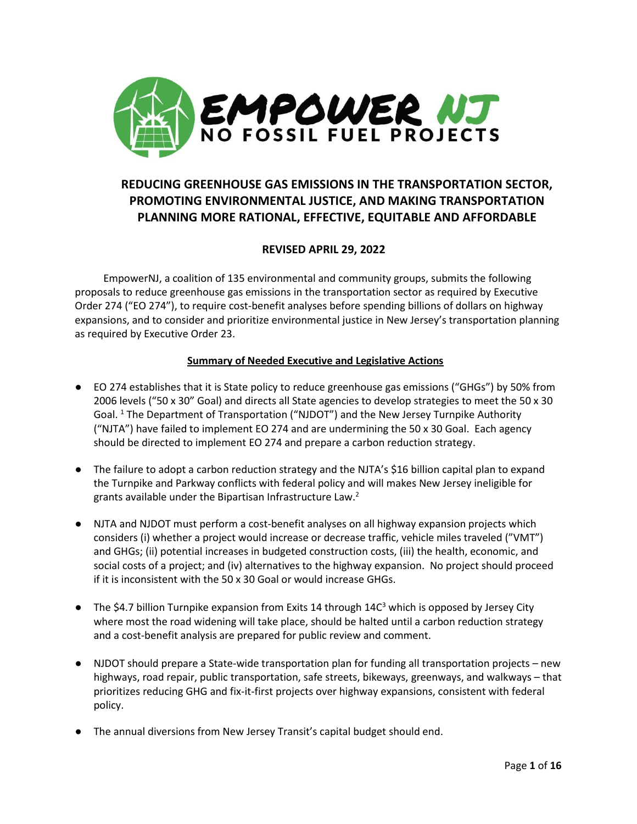

# **REDUCING GREENHOUSE GAS EMISSIONS IN THE TRANSPORTATION SECTOR, PROMOTING ENVIRONMENTAL JUSTICE, AND MAKING TRANSPORTATION PLANNING MORE RATIONAL, EFFECTIVE, EQUITABLE AND AFFORDABLE**

# **REVISED APRIL 29, 2022**

 EmpowerNJ, a coalition of 135 environmental and community groups, submits the following proposals to reduce greenhouse gas emissions in the transportation sector as required by Executive Order 274 ("EO 274"), to require cost-benefit analyses before spending billions of dollars on highway expansions, and to consider and prioritize environmental justice in New Jersey's transportation planning as required by Executive Order 23.

### **Summary of Needed Executive and Legislative Actions**

- EO 274 establishes that it is State policy to reduce greenhouse gas emissions ("GHGs") by 50% from 2006 levels ("50 x 30" Goal) and directs all State agencies to develop strategies to meet the 50 x 30 Goal.<sup>1</sup> The Department of Transportation ("NJDOT") and the New Jersey Turnpike Authority ("NJTA") have failed to implement EO 274 and are undermining the 50 x 30 Goal. Each agency should be directed to implement EO 274 and prepare a carbon reduction strategy.
- The failure to adopt a carbon reduction strategy and the NJTA's \$16 billion capital plan to expand the Turnpike and Parkway conflicts with federal policy and will makes New Jersey ineligible for grants available under the Bipartisan Infrastructure Law. $2$
- NJTA and NJDOT must perform a cost-benefit analyses on all highway expansion projects which considers (i) whether a project would increase or decrease traffic, vehicle miles traveled ("VMT") and GHGs; (ii) potential increases in budgeted construction costs, (iii) the health, economic, and social costs of a project; and (iv) alternatives to the highway expansion. No project should proceed if it is inconsistent with the 50 x 30 Goal or would increase GHGs.
- **•** The \$4.7 billion Turnpike expansion from Exits 14 through  $14C<sup>3</sup>$  which is opposed by Jersey City where most the road widening will take place, should be halted until a carbon reduction strategy and a cost-benefit analysis are prepared for public review and comment.
- NJDOT should prepare a State-wide transportation plan for funding all transportation projects new highways, road repair, public transportation, safe streets, bikeways, greenways, and walkways – that prioritizes reducing GHG and fix-it-first projects over highway expansions, consistent with federal policy.
- The annual diversions from New Jersey Transit's capital budget should end.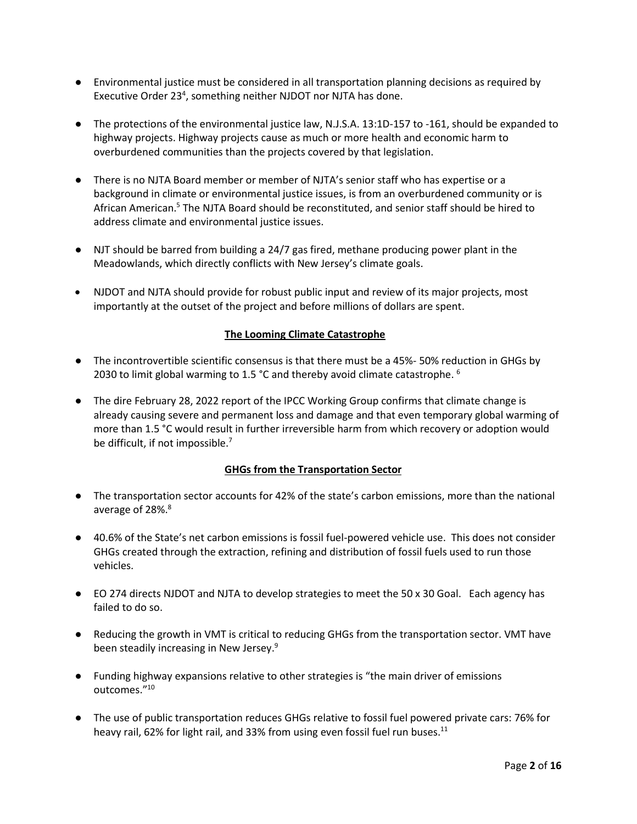- Environmental justice must be considered in all transportation planning decisions as required by Executive Order 23<sup>4</sup>, something neither NJDOT nor NJTA has done.
- The protections of the environmental justice law, N.J.S.A. 13:1D-157 to -161, should be expanded to highway projects. Highway projects cause as much or more health and economic harm to overburdened communities than the projects covered by that legislation.
- There is no NJTA Board member or member of NJTA's senior staff who has expertise or a background in climate or environmental justice issues, is from an overburdened community or is African American. <sup>5</sup> The NJTA Board should be reconstituted, and senior staff should be hired to address climate and environmental justice issues.
- NJT should be barred from building a 24/7 gas fired, methane producing power plant in the Meadowlands, which directly conflicts with New Jersey's climate goals.
- NJDOT and NJTA should provide for robust public input and review of its major projects, most importantly at the outset of the project and before millions of dollars are spent.

### **The Looming Climate Catastrophe**

- The incontrovertible scientific consensus is that there must be a 45%- 50% reduction in GHGs by 2030 to limit global warming to 1.5 °C and thereby avoid climate catastrophe.  $^6$
- The dire February 28, 2022 report of the IPCC Working Group confirms that climate change is already causing severe and permanent loss and damage and that even temporary global warming of more than 1.5 °C would result in further irreversible harm from which recovery or adoption would be difficult, if not impossible. $<sup>7</sup>$ </sup>

### **GHGs from the Transportation Sector**

- The transportation sector accounts for 42% of the state's carbon emissions, more than the national average of 28%.<sup>8</sup>
- 40.6% of the State's net carbon emissions is fossil fuel-powered vehicle use. This does not consider GHGs created through the extraction, refining and distribution of fossil fuels used to run those vehicles.
- EO 274 directs NJDOT and NJTA to develop strategies to meet the 50 x 30 Goal. Each agency has failed to do so.
- Reducing the growth in VMT is critical to reducing GHGs from the transportation sector. VMT have been steadily increasing in New Jersey.<sup>9</sup>
- Funding highway expansions relative to other strategies is "the main driver of emissions outcomes."<sup>10</sup>
- The use of public transportation reduces GHGs relative to fossil fuel powered private cars: 76% for heavy rail, 62% for light rail, and 33% from using even fossil fuel run buses.<sup>11</sup>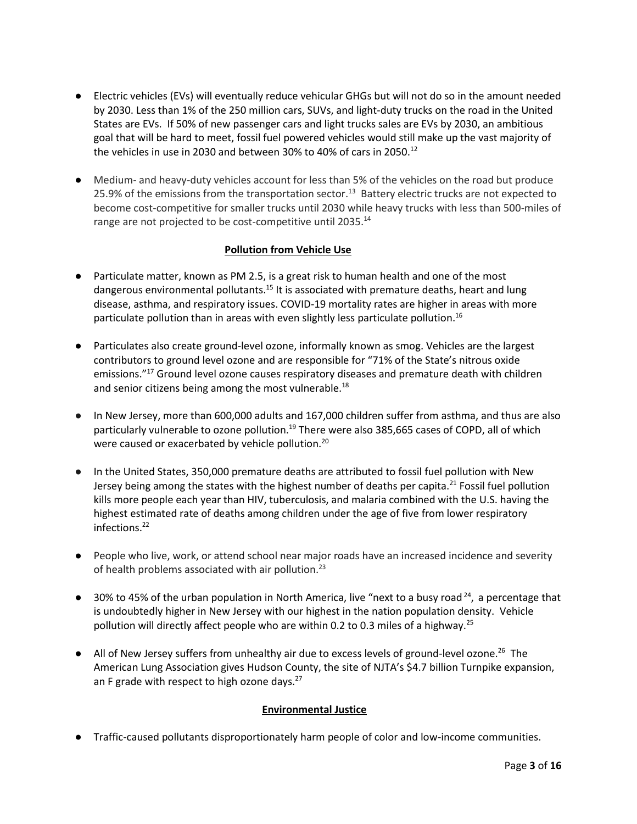- Electric vehicles (EVs) will eventually reduce vehicular GHGs but will not do so in the amount needed by 2030. Less than 1% of the 250 million cars, SUVs, and light-duty trucks on the road in the United States are EVs. If 50% of new passenger cars and light trucks sales are EVs by 2030, an ambitious goal that will be hard to meet, fossil fuel powered vehicles would still make up the vast majority of the vehicles in use in 2030 and between 30% to 40% of cars in 2050.<sup>12</sup>
- Medium- and heavy-duty vehicles account for less than 5% of the vehicles on the road but produce 25.9% of the emissions from the transportation sector.<sup>13</sup> Battery electric trucks are not expected to become cost-competitive for smaller trucks until 2030 while heavy trucks with less than 500-miles of range are not projected to be cost-competitive until 2035.<sup>14</sup>

## **Pollution from Vehicle Use**

- Particulate matter, known as PM 2.5, is a great risk to human health and one of the most dangerous environmental pollutants.<sup>15</sup> It is associated with premature deaths, heart and lung disease, asthma, and respiratory issues. COVID-19 mortality rates are higher in areas with more particulate pollution than in areas with even slightly less particulate pollution. 16
- Particulates also create ground-level ozone, informally known as smog. Vehicles are the largest contributors to ground level ozone and are responsible for "71% of the State's nitrous oxide emissions."<sup>17</sup> Ground level ozone causes respiratory diseases and premature death with children and senior citizens being among the most vulnerable. $^{18}$
- In New Jersey, more than 600,000 adults and 167,000 children suffer from asthma, and thus are also particularly vulnerable to ozone pollution.<sup>19</sup> There were also 385,665 cases of COPD, all of which were caused or exacerbated by vehicle pollution.<sup>20</sup>
- In the United States, 350,000 premature deaths are attributed to fossil fuel pollution with New Jersey being among the states with the highest number of deaths per capita.<sup>21</sup> Fossil fuel pollution kills more people each year than HIV, tuberculosis, and malaria combined with the U.S. having the highest estimated rate of deaths among children under the age of five from lower respiratory infections.<sup>22</sup>
- People who live, work, or attend school near major roads have an increased incidence and severity of health problems associated with air pollution.<sup>23</sup>
- $\bullet$  30% to 45% of the urban population in North America, live "next to a busy road<sup>24</sup>, a percentage that is undoubtedly higher in New Jersey with our highest in the nation population density. Vehicle pollution will directly affect people who are within 0.2 to 0.3 miles of a highway.<sup>25</sup>
- All of New Jersey suffers from unhealthy air due to excess levels of ground-level ozone.<sup>26</sup> The American Lung Association gives Hudson County, the site of NJTA's \$4.7 billion Turnpike expansion, an F grade with respect to high ozone days.<sup>27</sup>

### **Environmental Justice**

● Traffic-caused pollutants disproportionately harm people of color and low-income communities.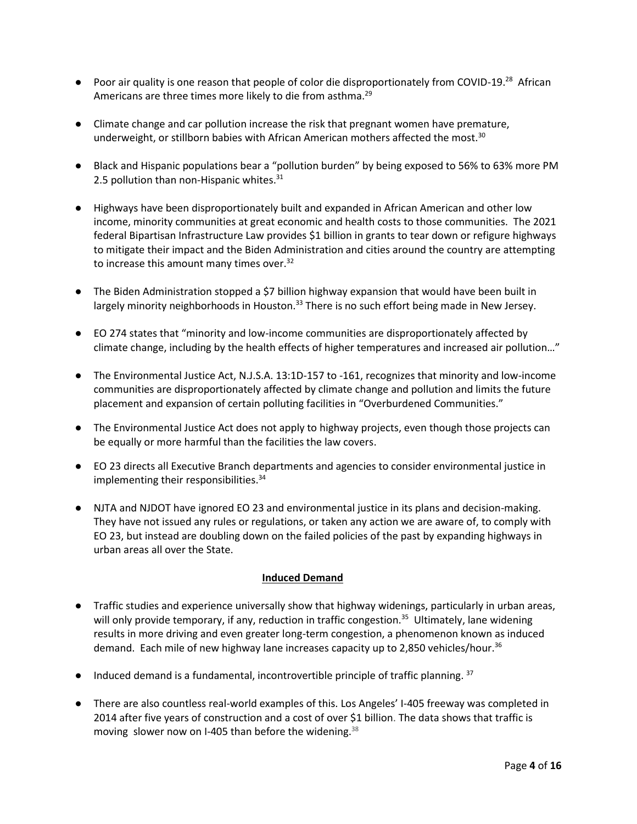- Poor air quality is one reason that people of color die disproportionately from COVID-19.<sup>28</sup> African Americans are three times more likely to die from asthma.<sup>29</sup>
- Climate change and car pollution increase the risk that pregnant women have premature, underweight, or stillborn babies with African American mothers affected the most. $30$
- Black and Hispanic populations bear a "pollution burden" by being exposed to 56% to 63% more PM 2.5 pollution than non-Hispanic whites. $31$
- Highways have been disproportionately built and expanded in African American and other low income, minority communities at great economic and health costs to those communities. The 2021 federal Bipartisan Infrastructure Law provides \$1 billion in grants to tear down or refigure highways to mitigate their impact and the Biden Administration and cities around the country are attempting to increase this amount many times over.<sup>32</sup>
- The Biden Administration stopped a \$7 billion highway expansion that would have been built in largely minority neighborhoods in Houston.<sup>33</sup> There is no such effort being made in New Jersey.
- EO 274 states that "minority and low-income communities are disproportionately affected by climate change, including by the health effects of higher temperatures and increased air pollution…"
- The Environmental Justice Act, N.J.S.A. 13:1D-157 to -161, recognizes that minority and low-income communities are disproportionately affected by climate change and pollution and limits the future placement and expansion of certain polluting facilities in "Overburdened Communities."
- The Environmental Justice Act does not apply to highway projects, even though those projects can be equally or more harmful than the facilities the law covers.
- EO 23 directs all Executive Branch departments and agencies to consider environmental justice in implementing their responsibilities.<sup>34</sup>
- NJTA and NJDOT have ignored EO 23 and environmental justice in its plans and decision-making. They have not issued any rules or regulations, or taken any action we are aware of, to comply with EO 23, but instead are doubling down on the failed policies of the past by expanding highways in urban areas all over the State.

### **Induced Demand**

- Traffic studies and experience universally show that highway widenings, particularly in urban areas, will only provide temporary, if any, reduction in traffic congestion.<sup>35</sup> Ultimately, lane widening results in more driving and even greater long-term congestion, a phenomenon known as induced demand. Each mile of new highway lane increases capacity up to 2,850 vehicles/hour.<sup>36</sup>
- Induced demand is a fundamental, incontrovertible principle of traffic planning.<sup>37</sup>
- There are also countless real-world examples of this. Los Angeles' I-405 freeway was completed in 2014 after five years of construction and a cost of [over \\$1 billion.](http://media.metro.net/projects_studies/pm/images/pm_october_2013_i405_sepulveda_pass_improvements2.pdf) The data shows that traffic is movin[g slower](http://la.curbed.com/archives/2014/10/405_commutes_now_a_minute_worse_than_before_carpool_lane.php) now on I-405 than before the widening.<sup>38</sup>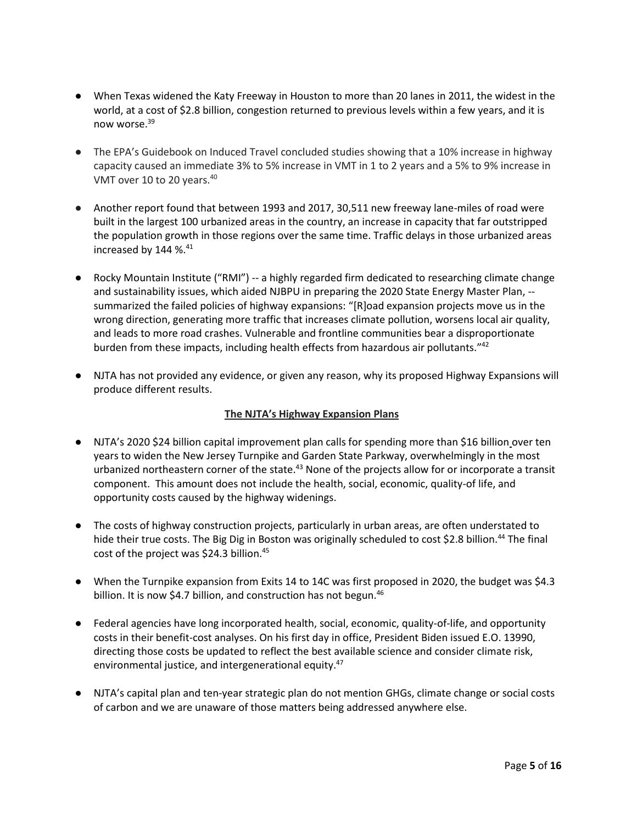- When Texas widened the Katy Freeway in Houston to more than 20 lanes in 2011, the widest in the world, at a cost of \$2.8 billion, congestion returned to previous levels within a few years, and it is now worse.<sup>39</sup>
- The EPA's Guidebook on Induced Travel concluded studies showing that a 10% increase in highway capacity caused an immediate 3% to 5% increase in VMT in 1 to 2 years and a 5% to 9% increase in VMT over 10 to 20 years.<sup>40</sup>
- Another report found that between 1993 and 2017, 30,511 new freeway lane-miles of road were built in the largest 100 urbanized areas in the country, an increase in capacity that far outstripped the population growth in those regions over the same time. Traffic delays in those urbanized areas increased by 144 %. 41
- Rocky Mountain Institute ("RMI") -- a highly regarded firm dedicated to researching climate change and sustainability issues, which aided NJBPU in preparing the 2020 State Energy Master Plan, - summarized the failed policies of highway expansions: "[R]oad expansion projects move us in the wrong direction, generating more traffic that increases climate pollution, worsens local air quality, and leads to more road crashes. Vulnerable and frontline communities bear a disproportionate burden from these impacts, including health effects from hazardous air pollutants."<sup>42</sup>
- NJTA has not provided any evidence, or given any reason, why its proposed Highway Expansions will produce different results.

### **The NJTA's Highway Expansion Plans**

- NJTA's 2020 \$24 billion capital improvement plan calls for spending more than \$16 billion over ten years to widen the New Jersey Turnpike and Garden State Parkway, overwhelmingly in the most urbanized northeastern corner of the state.<sup>43</sup> None of the projects allow for or incorporate a transit component. This amount does not include the health, social, economic, quality-of life, and opportunity costs caused by the highway widenings.
- The costs of highway construction projects, particularly in urban areas, are often understated to hide their true costs. The Big Dig in Boston was originally scheduled to cost \$2.8 billion.<sup>44</sup> The final cost of the project was \$24.3 billion.<sup>45</sup>
- When the Turnpike expansion from Exits 14 to 14C was first proposed in 2020, the budget was \$4.3 billion. It is now \$4.7 billion, and construction has not begun.<sup>46</sup>
- Federal agencies have long incorporated health, social, economic, quality-of-life, and opportunity costs in their benefit-cost analyses. On his first day in office, President Biden issued E.O. 13990, directing those costs be updated to reflect the best available science and consider climate risk, environmental justice, and intergenerational equity.<sup>47</sup>
- NJTA's capital plan and ten-year strategic plan do not mention GHGs, climate change or social costs of carbon and we are unaware of those matters being addressed anywhere else.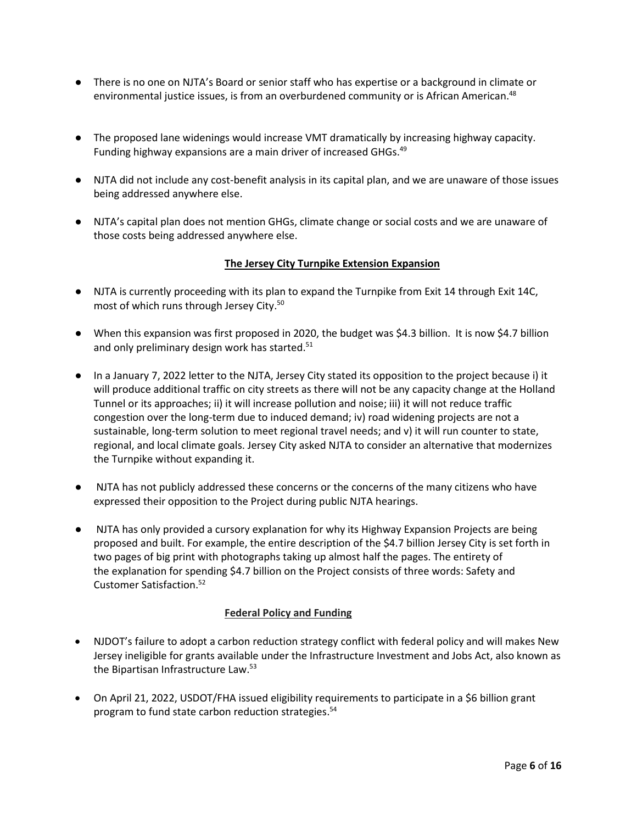- There is no one on NJTA's Board or senior staff who has expertise or a background in climate or environmental justice issues, is from an overburdened community or is African American. 48
- The proposed lane widenings would increase VMT dramatically by increasing highway capacity. Funding highway expansions are a main driver of increased GHGs.<sup>49</sup>
- NJTA did not include any cost-benefit analysis in its capital plan, and we are unaware of those issues being addressed anywhere else.
- NJTA's capital plan does not mention GHGs, climate change or social costs and we are unaware of those costs being addressed anywhere else.

### **The Jersey City Turnpike Extension Expansion**

- NJTA is currently proceeding with its plan to expand the Turnpike from Exit 14 through Exit 14C, most of which runs through Jersey City.<sup>50</sup>
- When this expansion was first proposed in 2020, the budget was \$4.3 billion. It is now \$4.7 billion and only preliminary design work has started.<sup>51</sup>
- In a January 7, 2022 letter to the NJTA, Jersey City stated its opposition to the project because i) it will produce additional traffic on city streets as there will not be any capacity change at the Holland Tunnel or its approaches; ii) it will increase pollution and noise; iii) it will not reduce traffic congestion over the long-term due to induced demand; iv) road widening projects are not a sustainable, long-term solution to meet regional travel needs; and v) it will run counter to state, regional, and local climate goals. Jersey City asked NJTA to consider an alternative that modernizes the Turnpike without expanding it.
- NJTA has not publicly addressed these concerns or the concerns of the many citizens who have expressed their opposition to the Project during public NJTA hearings.
- NJTA has only provided a cursory explanation for why its Highway Expansion Projects are being proposed and built. For example, the entire description of the \$4.7 billion Jersey City is set forth in two pages of big print with photographs taking up almost half the pages. The entirety of the explanation for spending \$4.7 billion on the Project consists of three words: Safety and Customer Satisfaction. 52

### **Federal Policy and Funding**

- NJDOT's failure to adopt a carbon reduction strategy conflict with federal policy and will makes New Jersey ineligible for grants available under the Infrastructure Investment and Jobs Act, also known as the Bipartisan Infrastructure Law.<sup>53</sup>
- On April 21, 2022, USDOT/FHA issued eligibility requirements to participate in a \$6 billion grant program to fund state carbon reduction strategies. 54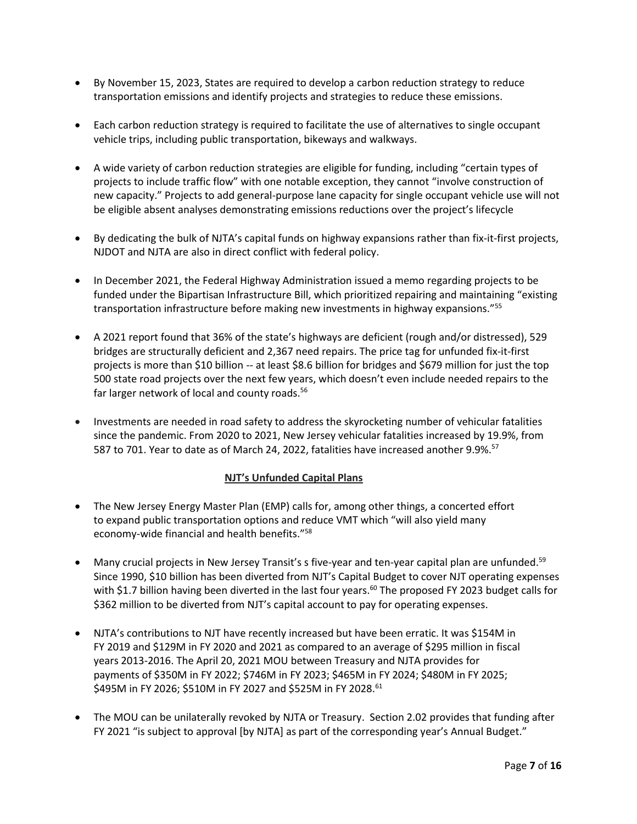- By November 15, 2023, States are required to develop a carbon reduction strategy to reduce transportation emissions and identify projects and strategies to reduce these emissions.
- Each carbon reduction strategy is required to facilitate the use of alternatives to single occupant vehicle trips, including public transportation, bikeways and walkways.
- A wide variety of carbon reduction strategies are eligible for funding, including "certain types of projects to include traffic flow" with one notable exception, they cannot "involve construction of new capacity." Projects to add general-purpose lane capacity for single occupant vehicle use will not be eligible absent analyses demonstrating emissions reductions over the project's lifecycle
- By dedicating the bulk of NJTA's capital funds on highway expansions rather than fix-it-first projects, NJDOT and NJTA are also in direct conflict with federal policy.
- In December 2021, the Federal Highway Administration issued a memo regarding projects to be funded under the Bipartisan Infrastructure Bill, which prioritized repairing and maintaining "existing transportation infrastructure before making new investments in highway expansions."<sup>55</sup>
- A 2021 report found that 36% of the state's highways are deficient (rough and/or distressed), 529 bridges are structurally deficient and 2,367 need repairs. The price tag for unfunded fix-it-first projects is more than \$10 billion -- at least \$8.6 billion for bridges and \$679 million for just the top 500 state road projects over the next few years, which doesn't even include needed repairs to the far larger network of local and county roads.<sup>56</sup>
- Investments are needed in road safety to address the skyrocketing number of vehicular fatalities since the pandemic. From 2020 to 2021, New Jersey vehicular fatalities increased by 19.9%, from 587 to 701. Year to date as of March 24, 2022, fatalities have increased another 9.9%.<sup>57</sup>

### **NJT's Unfunded Capital Plans**

- The New Jersey Energy Master Plan (EMP) calls for, among other things, a concerted effort to expand public transportation options and reduce VMT which "will also yield many economy-wide financial and health benefits." 58
- Many crucial projects in New Jersey Transit's s five-year and ten-year capital plan are unfunded.<sup>59</sup> Since 1990, \$10 billion has been diverted from NJT's Capital Budget to cover NJT operating expenses with \$1.7 billion having been diverted in the last four years.<sup>60</sup> The proposed FY 2023 budget calls for \$362 million to be diverted from NJT's capital account to pay for operating expenses.
- NJTA's contributions to NJT have recently increased but have been erratic. It was \$154M in FY 2019 and \$129M in FY 2020 and 2021 as compared to an average of \$295 million in fiscal years 2013-2016. The April 20, 2021 MOU between Treasury and NJTA provides for payments of \$350M in FY 2022; \$746M in FY 2023; \$465M in FY 2024; \$480M in FY 2025; \$495M in FY 2026; \$510M in FY 2027 and \$525M in FY 2028.<sup>61</sup>
- The MOU can be unilaterally revoked by NJTA or Treasury. Section 2.02 provides that funding after FY 2021 "is subject to approval [by NJTA] as part of the corresponding year's Annual Budget."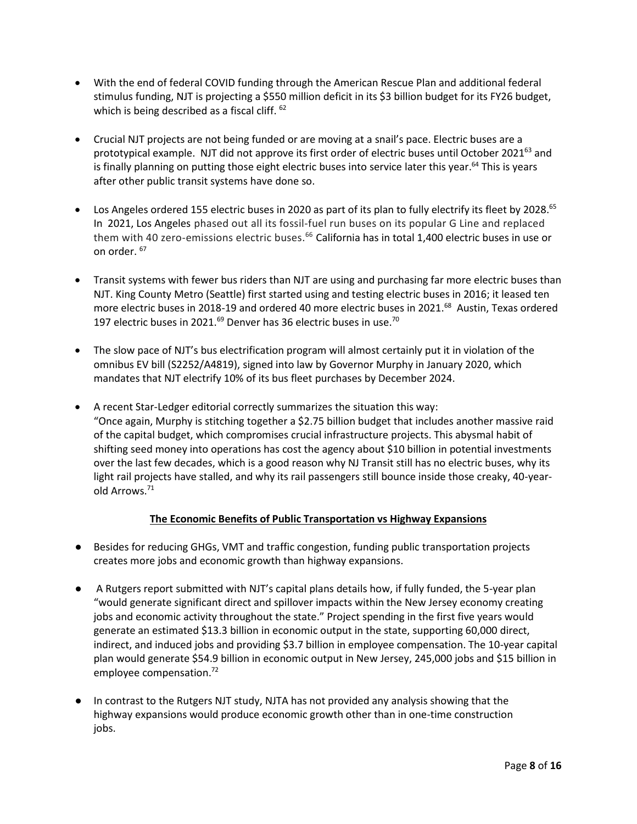- With the end of federal COVID funding through the American Rescue Plan and additional federal stimulus funding, NJT is projecting a \$550 million deficit in its \$3 billion budget for its FY26 budget, which is being described as a fiscal cliff. <sup>62</sup>
- Crucial NJT projects are not being funded or are moving at a snail's pace. Electric buses are a prototypical example. NJT did not approve its first order of electric buses until October 2021<sup>63</sup> and is finally planning on putting those eight electric buses into service later this year.<sup>64</sup> This is years after other public transit systems have done so.
- Los Angeles ordered 155 electric buses in 2020 as part of its plan to fully electrify its fleet by 2028.<sup>65</sup> In 2021, Los Angeles phased out all its fossil-fuel run buses on its popular G Line and replaced them with 40 zero-emissions electric buses.<sup>66</sup> California has in total 1,400 electric buses in use or on order. 67
- Transit systems with fewer bus riders than NJT are using and purchasing far more electric buses than NJT. King County Metro (Seattle) first started using and testing electric buses in 2016; it leased ten more electric buses in 2018-19 and ordered 40 more electric buses in 2021.<sup>68</sup> Austin, Texas ordered 197 electric buses in 2021. $^{69}$  Denver has 36 electric buses in use.<sup>70</sup>
- The slow pace of NJT's bus electrification program will almost certainly put it in violation of the omnibus EV bill (S2252/A4819), signed into law by Governor Murphy in January 2020, which mandates that NJT electrify 10% of its bus fleet purchases by December 2024.
- A recent Star-Ledger editorial correctly summarizes the situation this way: "Once again, Murphy is stitching together a \$2.75 billion budget that includes another massive raid of the capital budget, which compromises crucial infrastructure projects. This abysmal habit of shifting seed money into operations has cost the agency about \$10 billion in potential investments over the last few decades, which is a good reason why NJ Transit still has no electric buses, why its light rail projects have stalled, and why its rail passengers still bounce inside those creaky, 40-yearold Arrows.<sup>71</sup>

### **The Economic Benefits of Public Transportation vs Highway Expansions**

- Besides for reducing GHGs, VMT and traffic congestion, funding public transportation projects creates more jobs and economic growth than highway expansions.
- A Rutgers report submitted with NJT's capital plans details how, if fully funded, the 5-year plan "would generate significant direct and spillover impacts within the New Jersey economy creating jobs and economic activity throughout the state." Project spending in the first five years would generate an estimated \$13.3 billion in economic output in the state, supporting 60,000 direct, indirect, and induced jobs and providing \$3.7 billion in employee compensation. The 10-year capital plan would generate \$54.9 billion in economic output in New Jersey, 245,000 jobs and \$15 billion in employee compensation. 72
- In contrast to the Rutgers NJT study, NJTA has not provided any analysis showing that the highway expansions would produce economic growth other than in one-time construction jobs.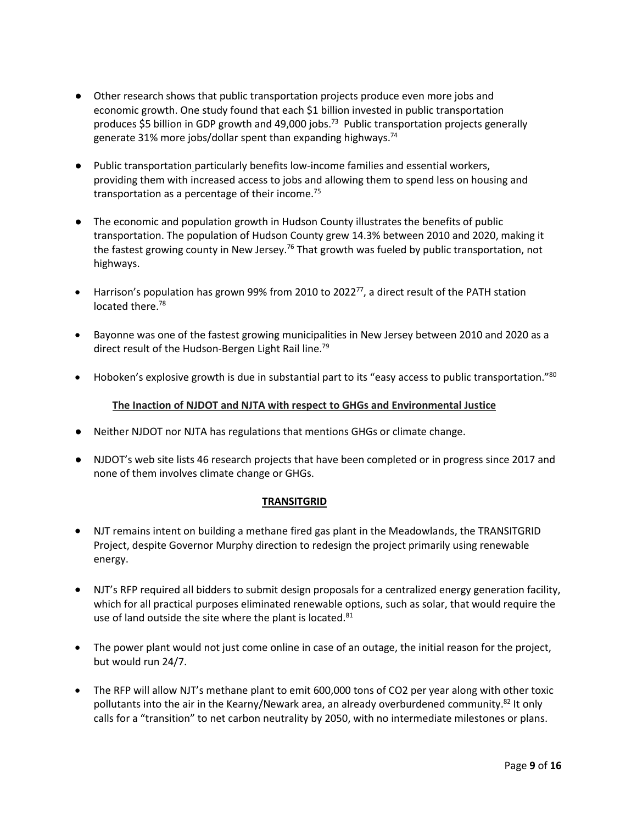- Other research shows that public transportation projects produce even more jobs and economic growth. One study found that each \$1 billion invested in public transportation produces \$5 billion in GDP growth and 49,000 jobs.<sup>73</sup> Public transportation projects generally generate 31% more jobs/dollar spent than expanding highways.<sup>74</sup>
- Public transportation particularly benefits low-income families and essential workers, providing them with increased access to jobs and allowing them to spend less on housing and transportation as a percentage of their income. $75$
- The economic and population growth in Hudson County illustrates the benefits of public transportation. The population of Hudson County grew 14.3% between 2010 and 2020, making it the fastest growing county in New Jersey.<sup>76</sup> That growth was fueled by public transportation, not highways.
- Harrison's population has grown 99% from 2010 to 2022 $^{77}$ , a direct result of the PATH station located there.<sup>78</sup>
- Bayonne was one of the fastest growing municipalities in New Jersey between 2010 and 2020 as a direct result of the Hudson-Bergen Light Rail line.<sup>79</sup>
- Hoboken's explosive growth is due in substantial part to its "easy access to public transportation."<sup>80</sup>

### **The Inaction of NJDOT and NJTA with respect to GHGs and Environmental Justice**

- Neither NJDOT nor NJTA has regulations that mentions GHGs or climate change.
- NJDOT's web site lists 46 research projects that have been completed or in progress since 2017 and none of them involves climate change or GHGs.

### **TRANSITGRID**

- NJT remains intent on building a methane fired gas plant in the Meadowlands, the TRANSITGRID Project, despite Governor Murphy direction to redesign the project primarily using renewable energy.
- NJT's RFP required all bidders to submit design proposals for a centralized energy generation facility, which for all practical purposes eliminated renewable options, such as solar, that would require the use of land outside the site where the plant is located.<sup>81</sup>
- The power plant would not just come online in case of an outage, the initial reason for the project, but would run 24/7.
- The RFP will allow NJT's methane plant to emit 600,000 tons of CO2 per year along with other toxic pollutants into the air in the Kearny/Newark area, an already overburdened community.<sup>82</sup> It only calls for a "transition" to net carbon neutrality by 2050, with no intermediate milestones or plans.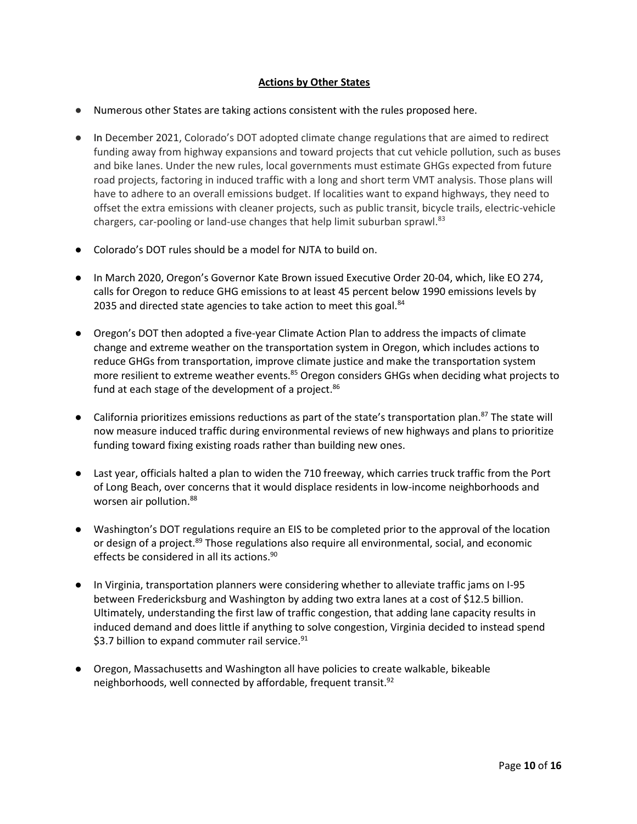### **Actions by Other States**

- Numerous other States are taking actions consistent with the rules proposed here.
- In December 2021, Colorado's DOT adopted climate change regulations that are aimed to redirect funding away from highway expansions and toward projects that cut vehicle pollution, such as buses and bike lanes. Under the new rules, local governments must estimate GHGs expected from future road projects, factoring in induced traffic with a long and short term VMT analysis. Those plans will have to adhere to an overall emissions budget. If localities want to expand highways, they need to offset the extra emissions with cleaner projects, such as public transit, bicycle trails, electric-vehicle chargers, car-pooling or land-use changes that help limit suburban sprawl.<sup>83</sup>
- Colorado's DOT rules should be a model for NJTA to build on.
- In March 2020, Oregon's Governor Kate Brown issued Executive Order 20-04, which, like EO 274, calls for Oregon to reduce GHG emissions to at least 45 percent below 1990 emissions levels by 2035 and directed state agencies to take action to meet this goal.<sup>84</sup>
- Oregon's DOT then adopted a five-year Climate Action Plan to address the impacts of climate change and extreme weather on the transportation system in Oregon, which includes actions to reduce GHGs from transportation, improve climate justice and make the transportation system more resilient to extreme weather events.<sup>85</sup> Oregon considers GHGs when deciding what projects to fund at each stage of the development of a project.<sup>86</sup>
- California prioritizes emissions reductions as part of the state's transportation plan.<sup>87</sup> The state will now measure induced traffic during environmental reviews of new highways and plans to prioritize funding toward fixing existing roads rather than building new ones.
- Last year, officials halted a plan to widen the 710 freeway, which carries truck traffic from the Port of Long Beach, over concerns that it would displace residents in low-income neighborhoods and worsen air pollution.<sup>88</sup>
- Washington's DOT regulations require an EIS to be completed prior to the approval of the location or design of a project.<sup>89</sup> Those regulations also require all environmental, social, and economic effects be considered in all its actions.<sup>90</sup>
- In Virginia, transportation planners were considering whether to alleviate traffic jams on I-95 between Fredericksburg and Washington by adding two extra lanes at a cost of \$12.5 billion. Ultimately, understanding the first law of traffic congestion, that adding lane capacity results in induced demand and does little if anything to solve congestion, Virginia decided to instead spend \$3.7 billion to expand commuter rail service. $91$
- Oregon, Massachusetts and Washington all have policies to create walkable, bikeable neighborhoods, well connected by affordable, frequent transit.<sup>92</sup>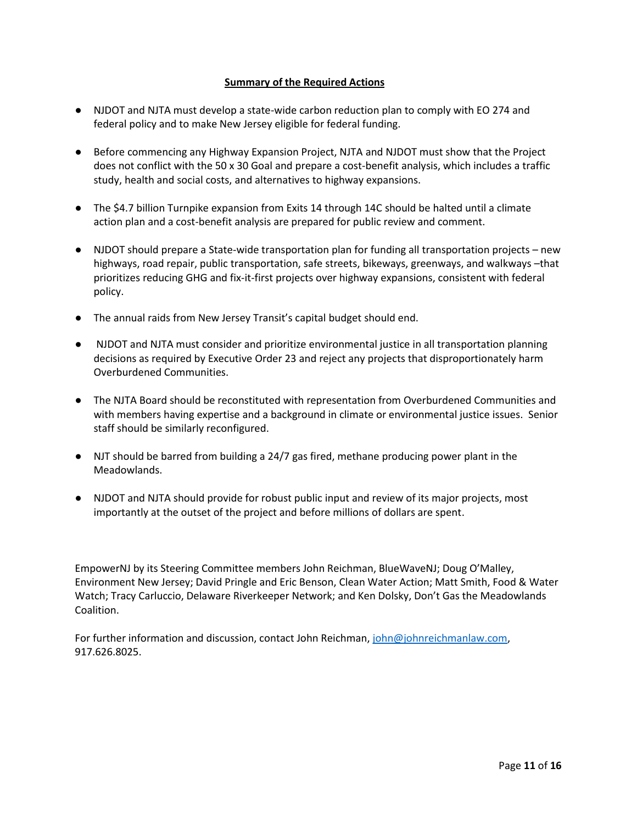#### **Summary of the Required Actions**

- NJDOT and NJTA must develop a state-wide carbon reduction plan to comply with EO 274 and federal policy and to make New Jersey eligible for federal funding.
- Before commencing any Highway Expansion Project, NJTA and NJDOT must show that the Project does not conflict with the 50 x 30 Goal and prepare a cost-benefit analysis, which includes a traffic study, health and social costs, and alternatives to highway expansions.
- The \$4.7 billion Turnpike expansion from Exits 14 through 14C should be halted until a climate action plan and a cost-benefit analysis are prepared for public review and comment.
- NJDOT should prepare a State-wide transportation plan for funding all transportation projects new highways, road repair, public transportation, safe streets, bikeways, greenways, and walkways –that prioritizes reducing GHG and fix-it-first projects over highway expansions, consistent with federal policy.
- The annual raids from New Jersey Transit's capital budget should end.
- NJDOT and NJTA must consider and prioritize environmental justice in all transportation planning decisions as required by Executive Order 23 and reject any projects that disproportionately harm Overburdened Communities.
- The NJTA Board should be reconstituted with representation from Overburdened Communities and with members having expertise and a background in climate or environmental justice issues. Senior staff should be similarly reconfigured.
- NJT should be barred from building a 24/7 gas fired, methane producing power plant in the Meadowlands.
- NJDOT and NJTA should provide for robust public input and review of its major projects, most importantly at the outset of the project and before millions of dollars are spent.

EmpowerNJ by its Steering Committee members John Reichman, BlueWaveNJ; Doug O'Malley, Environment New Jersey; David Pringle and Eric Benson, Clean Water Action; Matt Smith, Food & Water Watch; Tracy Carluccio, Delaware Riverkeeper Network; and Ken Dolsky, Don't Gas the Meadowlands Coalition.

For further information and discussion, contact John Reichman, [john@johnreichmanlaw.com,](mailto:john@johnreichmanlaw.com) 917.626.8025.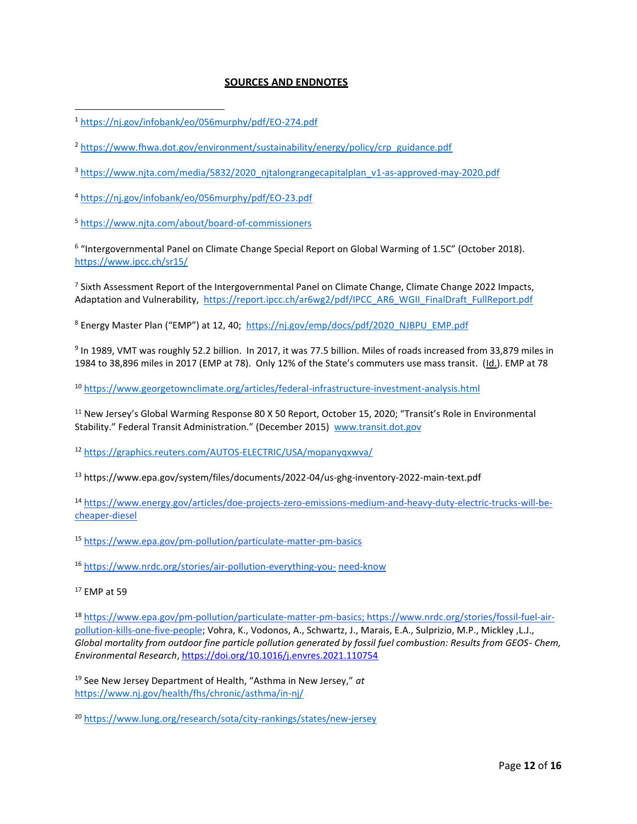#### **SOURCES AND ENDNOTES**

<sup>5</sup> <https://www.njta.com/about/board-of-commissioners>

<sup>6</sup> "Intergovernmental Panel on Climate Change Special Report on Global Warming of 1.5C" (October 2018). <https://www.ipcc.ch/sr15/>

<sup>7</sup> Sixth Assessment Report of the Intergovernmental Panel on Climate Change, Climate Change 2022 Impacts, Adaptation and Vulnerability, [https://report.ipcc.ch/ar6wg2/pdf/IPCC\\_AR6\\_WGII\\_FinalDraft\\_FullReport.pdf](https://report.ipcc.ch/ar6wg2/pdf/IPCC_AR6_WGII_FinalDraft_FullReport.pdf)

<sup>8</sup> Energy Master Plan ("EMP") at 12, 40; [https://nj.gov/emp/docs/pdf/2020\\_NJBPU\\_EMP.pdf](https://nj.gov/emp/docs/pdf/2020_NJBPU_EMP.pdf)

9 In 1989, VMT was roughly 52.2 billion. In 2017, it was 77.5 billion. Miles of roads increased from 33,879 miles in 1984 to 38,896 miles in 2017 (EMP at 78). Only 12% of the State's commuters use mass transit. (Id.). EMP at 78

<sup>10</sup> <https://www.georgetownclimate.org/articles/federal-infrastructure-investment-analysis.html>

<sup>11</sup> New Jersey's Global Warming Response 80 X 50 Report, October 15, 2020; "Transit's Role in Environmental Stability." Federal Transit Administration." (December 2015) [www.transit.dot.gov](http://www.transit.dot.gov/)

<sup>12</sup> <https://graphics.reuters.com/AUTOS-ELECTRIC/USA/mopanyqxwva/>

<sup>13</sup> https://www.epa.gov/system/files/documents/2022-04/us-ghg-inventory-2022-main-text.pdf

<sup>14</sup> [https://www.energy.gov/articles/doe-projects-zero-emissions-medium-and-heavy-duty-electric-trucks-will-be](https://www.energy.gov/articles/doe-projects-zero-emissions-medium-and-heavy-duty-electric-trucks-will-be-cheaper-diesel)[cheaper-diesel](https://www.energy.gov/articles/doe-projects-zero-emissions-medium-and-heavy-duty-electric-trucks-will-be-cheaper-diesel)

<sup>15</sup> <https://www.epa.gov/pm-pollution/particulate-matter-pm-basics>

<sup>16</sup> [https://www.nrdc.org/stories/air-pollution-everything-you-](https://www.nrdc.org/stories/air-pollution-everything-you-need-know) [need-know](https://www.nrdc.org/stories/air-pollution-everything-you-need-know) 

<sup>18</sup> [https://www.epa.gov/pm-pollution/particulate-matter-pm-basics;](https://www.epa.gov/pm-pollution/particulate-matter-pm-basics) [https://www.nrdc.org/stories/fossil-fuel-air](https://www.nrdc.org/stories/fossil-fuel-air-pollution-kills-one-five-people)[pollution-kills-one-five-people;](https://www.nrdc.org/stories/fossil-fuel-air-pollution-kills-one-five-people) Vohra, K., Vodonos, A., Schwartz, J., Marais, E.A., Sulprizio, M.P., Mickley ,L.J., *Global mortality from outdoor fine particle pollution generated by fossil fuel combustion: Results from GEOS- Chem, Environmental Research*,<https://doi.org/10.1016/j.envres.2021.110754>

<sup>19</sup> See New Jersey Department of Health, "Asthma in New Jersey," *at*  <https://www.nj.gov/health/fhs/chronic/asthma/in-nj/>

<sup>20</sup> <https://www.lung.org/research/sota/city-rankings/states/new-jersey>

<sup>1</sup> <https://nj.gov/infobank/eo/056murphy/pdf/EO-274.pdf>

<sup>&</sup>lt;sup>2</sup> [https://www.fhwa.dot.gov/environment/sustainability/energy/policy/crp\\_guidance.pdf](https://www.fhwa.dot.gov/environment/sustainability/energy/policy/crp_guidance.pdf)

<sup>3</sup> [https://www.njta.com/media/5832/2020\\_njtalongrangecapitalplan\\_v1-as-approved-may-2020.pdf](https://www.njta.com/media/5832/2020_njtalongrangecapitalplan_v1-as-approved-may-2020.pdf)

<sup>4</sup> <https://nj.gov/infobank/eo/056murphy/pdf/EO-23.pdf>

<sup>17</sup> EMP at 59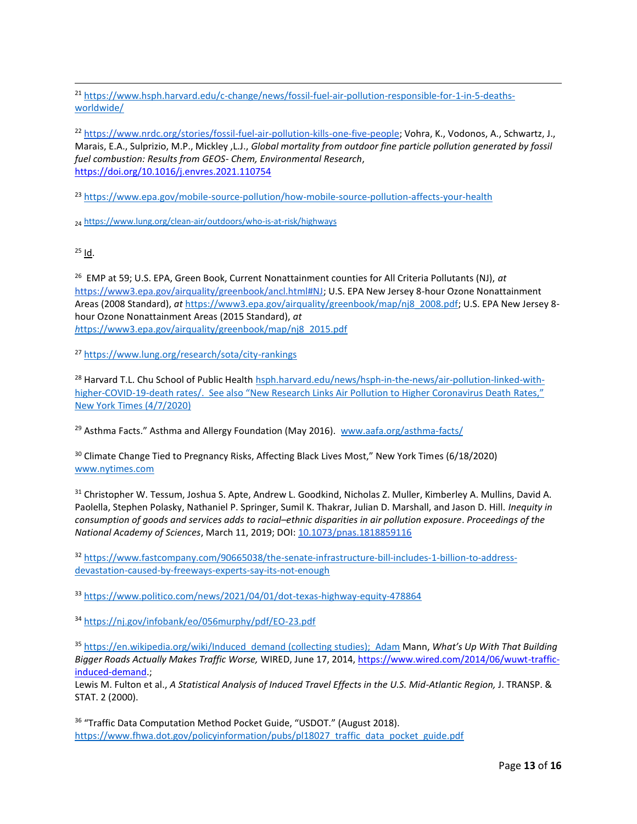<sup>21</sup> [https://www.hsph.harvard.edu/c-change/news/fossil-fuel-air-pollution-responsible-for-1-in-5-deaths](https://www.hsph.harvard.edu/c-change/news/fossil-fuel-air-pollution-responsible-for-1-in-5-deaths-worldwide/)[worldwide/](https://www.hsph.harvard.edu/c-change/news/fossil-fuel-air-pollution-responsible-for-1-in-5-deaths-worldwide/)

<sup>22</sup> [https://www.nrdc.org/stories/fossil-fuel-air-pollution-kills-one-five-people;](https://www.nrdc.org/stories/fossil-fuel-air-pollution-kills-one-five-people) Vohra, K., Vodonos, A., Schwartz, J., Marais, E.A., Sulprizio, M.P., Mickley ,L.J., *Global mortality from outdoor fine particle pollution generated by fossil fuel combustion: Results from GEOS- Chem, Environmental Research*, <https://doi.org/10.1016/j.envres.2021.110754>

<sup>23</sup> <https://www.epa.gov/mobile-source-pollution/how-mobile-source-pollution-affects-your-health>

<sup>24</sup> <https://www.lung.org/clean-air/outdoors/who-is-at-risk/highways>

 $25$  Id.

<sup>26</sup> EMP at 59; U.S. EPA, Green Book, Current Nonattainment counties for All Criteria Pollutants (NJ), *at* [https://www3.epa.gov/airquality/greenbook/ancl.html#NJ;](https://www3.epa.gov/airquality/greenbook/ancl.html#NJ) U.S. EPA New Jersey 8-hour Ozone Nonattainment Areas (2008 Standard), *at* [https://www3.epa.gov/airquality/greenbook/map/nj8\\_2008.pdf;](https://www3.epa.gov/airquality/greenbook/map/nj8_2008.pdf) U.S. EPA New Jersey 8 hour Ozone Nonattainment Areas (2015 Standard), *at [h](https://www3.epa.gov/airquality/greenbook/map/nj8_2015.pdf)*[ttps://www3.epa.gov/airquality/greenbook/map/nj8\\_2015.pdf](https://www3.epa.gov/airquality/greenbook/map/nj8_2015.pdf)

<sup>27</sup> <https://www.lung.org/research/sota/city-rankings>

<sup>28</sup> Harvard T.L. Chu School of Public Health [hsph.harvard.edu/](http://www.hsph.harvard.edu/)news/hsph-in-the-news/air-pollution-linked-withhigher-COVID-19-death rates/. See also "New Research Links Air Pollution to Higher Coronavirus Death Rates," New York Times (4/7/2020)

<sup>29</sup> Asthma Facts." Asthma and Allergy Foundation (May 2016). [www.aafa.org/asthma-facts/](http://www.aafa.org/asthma-facts/)

<sup>30</sup> Climate Change Tied to Pregnancy Risks, Affecting Black Lives Most," New York Times (6/18/2020) [www.nytimes.com](http://www.nytimes.com/)

31 Christopher W. Tessum, Joshua S. Apte, Andrew L. Goodkind, Nicholas Z. Muller, Kimberley A. Mullins, David A. Paolella, Stephen Polasky, Nathaniel P. Springer, Sumil K. Thakrar, Julian D. Marshall, and Jason D. Hill. *Inequity in consumption of goods and services adds to racial–ethnic disparities in air pollution exposure*. *Proceedings of the National Academy of Sciences*, March 11, 2019; DOI: [10.1073/pnas.1818859116](http://dx.doi.org/10.1073/pnas.1818859116)

<sup>32</sup> [https://www.fastcompany.com/90665038/the-senate-infrastructure-bill-includes-1-billion-to-address](https://www.fastcompany.com/90665038/the-senate-infrastructure-bill-includes-1-billion-to-address-devastation-caused-by-freeways-experts-say-its-not-enough)[devastation-caused-by-freeways-experts-say-its-not-enough](https://www.fastcompany.com/90665038/the-senate-infrastructure-bill-includes-1-billion-to-address-devastation-caused-by-freeways-experts-say-its-not-enough)

<sup>33</sup> <https://www.politico.com/news/2021/04/01/dot-texas-highway-equity-478864>

<sup>34</sup> <https://nj.gov/infobank/eo/056murphy/pdf/EO-23.pdf>

<sup>35</sup> [https://en.wikipedia.org/wiki/Induced\\_demand \(collecting studies\); Adam](https://en.wikipedia.org/wiki/Induced_demand%20(collecting%20studies);%20%20Adam) Mann, *What's Up With That Building Bigger Roads Actually Makes Traffic Worse,* WIRED, June 17, 2014, [https://www.wired.com/2014/06/wuwt-traffic](https://www.wired.com/2014/06/wuwt-traffic-induced-demand)[induced-demand.](https://www.wired.com/2014/06/wuwt-traffic-induced-demand);

Lewis M. Fulton et al., *A Statistical Analysis of Induced Travel Effects in the U.S. Mid-Atlantic Region, J. TRANSP. &* STAT. 2 (2000).

<sup>36</sup> "Traffic Data Computation Method Pocket Guide, "USDOT." (August 2018). [https://www.fhwa.dot.gov/policyinformation/pubs/pl18027\\_traffic\\_data\\_pocket\\_guide.pdf](https://www.fhwa.dot.gov/policyinformation/pubs/pl18027_traffic_data_pocket_guide.pdf)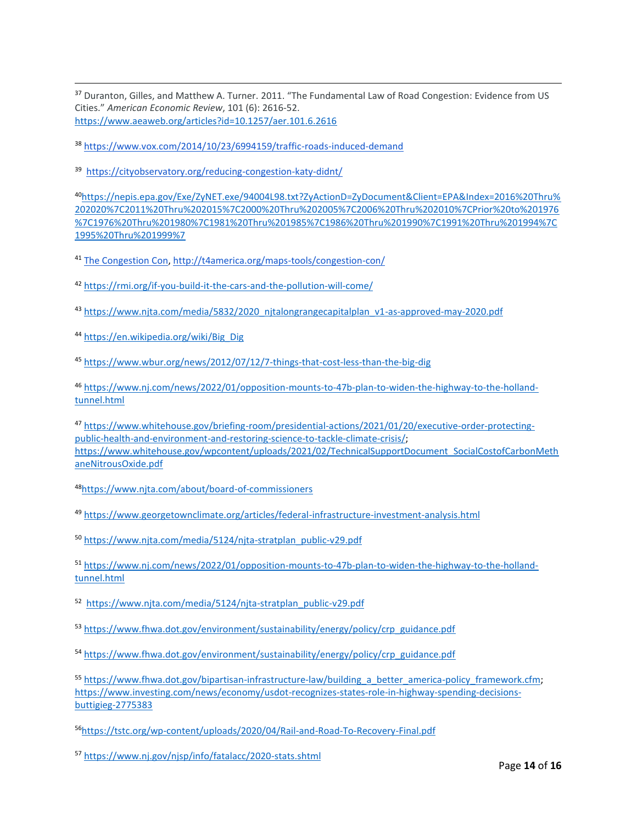<sup>37</sup> Duranton, Gilles, and Matthew A. Turner. 2011. "The Fundamental Law of Road Congestion: Evidence from US Cities." *American Economic Review*, 101 (6): 2616-52. <https://www.aeaweb.org/articles?id=10.1257/aer.101.6.2616>

<sup>38</sup> <https://www.vox.com/2014/10/23/6994159/traffic-roads-induced-demand>

<sup>39</sup> <https://cityobservatory.org/reducing-congestion-katy-didnt/>

<sup>40</sup>[https://nepis.epa.gov/Exe/ZyNET.exe/94004L98.txt?ZyActionD=ZyDocument&Client=EPA&Index=2016%20Thru%](https://nepis.epa.gov/Exe/ZyNET.exe/94004L98.txt?ZyActionD=ZyDocument&Client=EPA&Index=2016%20Thru%202020%7C2011%20Thru%202015%7C2000%20Thru%202005%7C2006%20Thru%202010%7CPrior%20to%201976%7C1976%20Thru%201980%7C1981%20Thru%201985%7C1986%20Thru%201990%7C1991%20Thru%201994%7C1995%20Thru%201999%257) [202020%7C2011%20Thru%202015%7C2000%20Thru%202005%7C2006%20Thru%202010%7CPrior%20to%201976](https://nepis.epa.gov/Exe/ZyNET.exe/94004L98.txt?ZyActionD=ZyDocument&Client=EPA&Index=2016%20Thru%202020%7C2011%20Thru%202015%7C2000%20Thru%202005%7C2006%20Thru%202010%7CPrior%20to%201976%7C1976%20Thru%201980%7C1981%20Thru%201985%7C1986%20Thru%201990%7C1991%20Thru%201994%7C1995%20Thru%201999%257) [%7C1976%20Thru%201980%7C1981%20Thru%201985%7C1986%20Thru%201990%7C1991%20Thru%201994%7C](https://nepis.epa.gov/Exe/ZyNET.exe/94004L98.txt?ZyActionD=ZyDocument&Client=EPA&Index=2016%20Thru%202020%7C2011%20Thru%202015%7C2000%20Thru%202005%7C2006%20Thru%202010%7CPrior%20to%201976%7C1976%20Thru%201980%7C1981%20Thru%201985%7C1986%20Thru%201990%7C1991%20Thru%201994%7C1995%20Thru%201999%257) [1995%20Thru%201999%7](https://nepis.epa.gov/Exe/ZyNET.exe/94004L98.txt?ZyActionD=ZyDocument&Client=EPA&Index=2016%20Thru%202020%7C2011%20Thru%202015%7C2000%20Thru%202005%7C2006%20Thru%202010%7CPrior%20to%201976%7C1976%20Thru%201980%7C1981%20Thru%201985%7C1986%20Thru%201990%7C1991%20Thru%201994%7C1995%20Thru%201999%257)

<sup>41</sup> [The Congestion Con, http://t4america.org/maps-tools/congestion-con/](http://t4america.org/maps-tools/congestion-con/)

<sup>42</sup> <https://rmi.org/if-you-build-it-the-cars-and-the-pollution-will-come/>

43 [https://www.njta.com/media/5832/2020\\_njtalongrangecapitalplan\\_v1-as-approved-may-2020.pdf](https://www.njta.com/media/5832/2020_njtalongrangecapitalplan_v1-as-approved-may-2020.pdf)

<sup>44</sup> [https://en.wikipedia.org/wiki/Big\\_Dig](https://en.wikipedia.org/wiki/Big_Dig)

<sup>45</sup> <https://www.wbur.org/news/2012/07/12/7-things-that-cost-less-than-the-big-dig>

<sup>46</sup> [https://www.nj.com/news/2022/01/opposition-mounts-to-47b-plan-to-widen-the-highway-to-the-holland](https://www.nj.com/news/2022/01/opposition-mounts-to-47b-plan-to-widen-the-highway-to-the-holland-tunnel.html)[tunnel.html](https://www.nj.com/news/2022/01/opposition-mounts-to-47b-plan-to-widen-the-highway-to-the-holland-tunnel.html)

<sup>47</sup> [https://www.whitehouse.gov/briefing-room/presidential-actions/2021/01/20/executive-order-protecting](https://www.whitehouse.gov/briefing-room/presidential-actions/2021/01/20/executive-order-protecting-public-health-and-environment-and-restoring-science-to-tackle-climate-crisis/)[public-health-and-environment-and-restoring-science-to-tackle-climate-crisis/;](https://www.whitehouse.gov/briefing-room/presidential-actions/2021/01/20/executive-order-protecting-public-health-and-environment-and-restoring-science-to-tackle-climate-crisis/) [https://www.whitehouse.gov/wpcontent/uploads/2021/02/TechnicalSupportDocument\\_SocialCostofCarbonMeth](https://www.whitehouse.gov/wpcontent/uploads/2021/02/TechnicalSupportDocument_SocialCostofCarbonMethaneNitrousOxide.pdf) [aneNitrousOxide.pdf](https://www.whitehouse.gov/wpcontent/uploads/2021/02/TechnicalSupportDocument_SocialCostofCarbonMethaneNitrousOxide.pdf)

<sup>48</sup><https://www.njta.com/about/board-of-commissioners>

<sup>49</sup> <https://www.georgetownclimate.org/articles/federal-infrastructure-investment-analysis.html>

<sup>50</sup> [https://www.njta.com/media/5124/njta-stratplan\\_public-v29.pdf](https://www.njta.com/media/5124/njta-stratplan_public-v29.pdf)

<sup>51</sup> [https://www.nj.com/news/2022/01/opposition-mounts-to-47b-plan-to-widen-the-highway-to-the-holland](https://www.nj.com/news/2022/01/opposition-mounts-to-47b-plan-to-widen-the-highway-to-the-holland-tunnel.html)[tunnel.html](https://www.nj.com/news/2022/01/opposition-mounts-to-47b-plan-to-widen-the-highway-to-the-holland-tunnel.html)

52 [https://www.njta.com/media/5124/njta-stratplan\\_public-v29.pdf](https://www.njta.com/media/5124/njta-stratplan_public-v29.pdf)

53 [https://www.fhwa.dot.gov/environment/sustainability/energy/policy/crp\\_guidance.pdf](https://www.fhwa.dot.gov/environment/sustainability/energy/policy/crp_guidance.pdf)

54 [https://www.fhwa.dot.gov/environment/sustainability/energy/policy/crp\\_guidance.pdf](https://www.fhwa.dot.gov/environment/sustainability/energy/policy/crp_guidance.pdf)

55 https://www.fhwa.dot.gov/bipartisan-infrastructure-law/building a better america-policy framework.cfm; [https://www.investing.com/news/economy/usdot-recognizes-states-role-in-highway-spending-decisions](https://www.investing.com/news/economy/usdot-recognizes-states-role-in-highway-spending-decisions-buttigieg-2775383)[buttigieg-2775383](https://www.investing.com/news/economy/usdot-recognizes-states-role-in-highway-spending-decisions-buttigieg-2775383)

<sup>56</sup><https://tstc.org/wp-content/uploads/2020/04/Rail-and-Road-To-Recovery-Final.pdf>

<sup>57</sup> <https://www.nj.gov/njsp/info/fatalacc/2020-stats.shtml>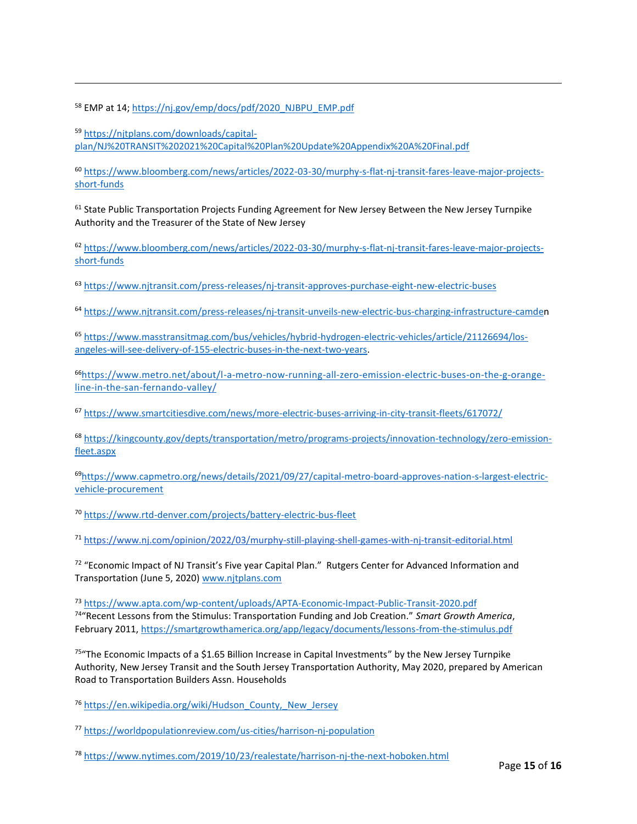58 EMP at 14; [https://nj.gov/emp/docs/pdf/2020\\_NJBPU\\_EMP.pdf](https://nj.gov/emp/docs/pdf/2020_NJBPU_EMP.pdf%09)

<sup>59</sup> [https://njtplans.com/downloads/capital](https://njtplans.com/downloads/capital-plan/NJ%20TRANSIT%202021%20Capital%20Plan%20Update%20Appendix%20A%20Final.pdf)[plan/NJ%20TRANSIT%202021%20Capital%20Plan%20Update%20Appendix%20A%20Final.pdf](https://njtplans.com/downloads/capital-plan/NJ%20TRANSIT%202021%20Capital%20Plan%20Update%20Appendix%20A%20Final.pdf)

<sup>60</sup> [https://www.bloomberg.com/news/articles/2022-03-30/murphy-s-flat-nj-transit-fares-leave-major-projects](https://www.bloomberg.com/news/articles/2022-03-30/murphy-s-flat-nj-transit-fares-leave-major-projects-short-funds)[short-funds](https://www.bloomberg.com/news/articles/2022-03-30/murphy-s-flat-nj-transit-fares-leave-major-projects-short-funds)

<sup>61</sup> State Public Transportation Projects Funding Agreement for New Jersey Between the New Jersey Turnpike Authority and the Treasurer of the State of New Jersey

<sup>62</sup> [https://www.bloomberg.com/news/articles/2022-03-30/murphy-s-flat-nj-transit-fares-leave-major-projects](https://www.bloomberg.com/news/articles/2022-03-30/murphy-s-flat-nj-transit-fares-leave-major-projects-short-funds)[short-funds](https://www.bloomberg.com/news/articles/2022-03-30/murphy-s-flat-nj-transit-fares-leave-major-projects-short-funds)

<sup>63</sup> <https://www.njtransit.com/press-releases/nj-transit-approves-purchase-eight-new-electric-buses>

<sup>64</sup> [https://www.njtransit.com/press-releases/nj-transit-unveils-new-electric-bus-charging-infrastructure-camden](https://d.docs.live.net/300fdf7159cfa829/Documents/Transportation%20Fact%20Sheet.docx)

<sup>65</sup> [https://www.masstransitmag.com/bus/vehicles/hybrid-hydrogen-electric-vehicles/article/21126694/los](https://www.masstransitmag.com/bus/vehicles/hybrid-hydrogen-electric-vehicles/article/21126694/los-angeles-will-see-delivery-of-155-electric-buses-in-the-next-two-years)[angeles-will-see-delivery-of-155-electric-buses-in-the-next-two-years.](https://www.masstransitmag.com/bus/vehicles/hybrid-hydrogen-electric-vehicles/article/21126694/los-angeles-will-see-delivery-of-155-electric-buses-in-the-next-two-years)

66[https://www.metro.net/about/l-a-metro-now-running-all-zero-emission-electric-buses-on-the-g-orange](https://www.metro.net/about/l-a-metro-now-running-all-zero-emission-electric-buses-on-the-g-orange-line-in-the-san-fernando-valley/)[line-in-the-san-fernando-valley/](https://www.metro.net/about/l-a-metro-now-running-all-zero-emission-electric-buses-on-the-g-orange-line-in-the-san-fernando-valley/)

<sup>67</sup> <https://www.smartcitiesdive.com/news/more-electric-buses-arriving-in-city-transit-fleets/617072/>

<sup>68</sup> [https://kingcounty.gov/depts/transportation/metro/programs-projects/innovation-technology/zero-emission](https://kingcounty.gov/depts/transportation/metro/programs-projects/innovation-technology/zero-emission-fleet.aspx)[fleet.aspx](https://kingcounty.gov/depts/transportation/metro/programs-projects/innovation-technology/zero-emission-fleet.aspx)

69[https://www.capmetro.org/news/details/2021/09/27/capital-metro-board-approves-nation-s-largest-electric](https://www.capmetro.org/news/details/2021/09/27/capital-metro-board-approves-nation-s-largest-electric-vehicle-procurement)[vehicle-procurement](https://www.capmetro.org/news/details/2021/09/27/capital-metro-board-approves-nation-s-largest-electric-vehicle-procurement)

<sup>70</sup> <https://www.rtd-denver.com/projects/battery-electric-bus-fleet>

<sup>71</sup> <https://www.nj.com/opinion/2022/03/murphy-still-playing-shell-games-with-nj-transit-editorial.html>

<sup>72</sup> "Economic Impact of NJ Transit's Five year Capital Plan." Rutgers Center for Advanced Information and Transportation (June 5, 2020) [www.njtplans.com](http://www.njtplans.com/)

<sup>73</sup> <https://www.apta.com/wp-content/uploads/APTA-Economic-Impact-Public-Transit-2020.pdf> <sup>74</sup>"Recent Lessons from the Stimulus: Transportation Funding and Job Creation." *Smart Growth America*, February 2011, <https://smartgrowthamerica.org/app/legacy/documents/lessons-from-the-stimulus.pdf>

 $75$ "The Economic Impacts of a \$1.65 Billion Increase in Capital Investments" by the New Jersey Turnpike Authority, New Jersey Transit and the South Jersey Transportation Authority, May 2020, prepared by American Road to Transportation Builders Assn. Households

<sup>76</sup> [https://en.wikipedia.org/wiki/Hudson\\_County,\\_New\\_Jersey](https://en.wikipedia.org/wiki/Hudson_County,_New_Jersey)

<sup>77</sup> <https://worldpopulationreview.com/us-cities/harrison-nj-population>

<sup>78</sup> <https://www.nytimes.com/2019/10/23/realestate/harrison-nj-the-next-hoboken.html>